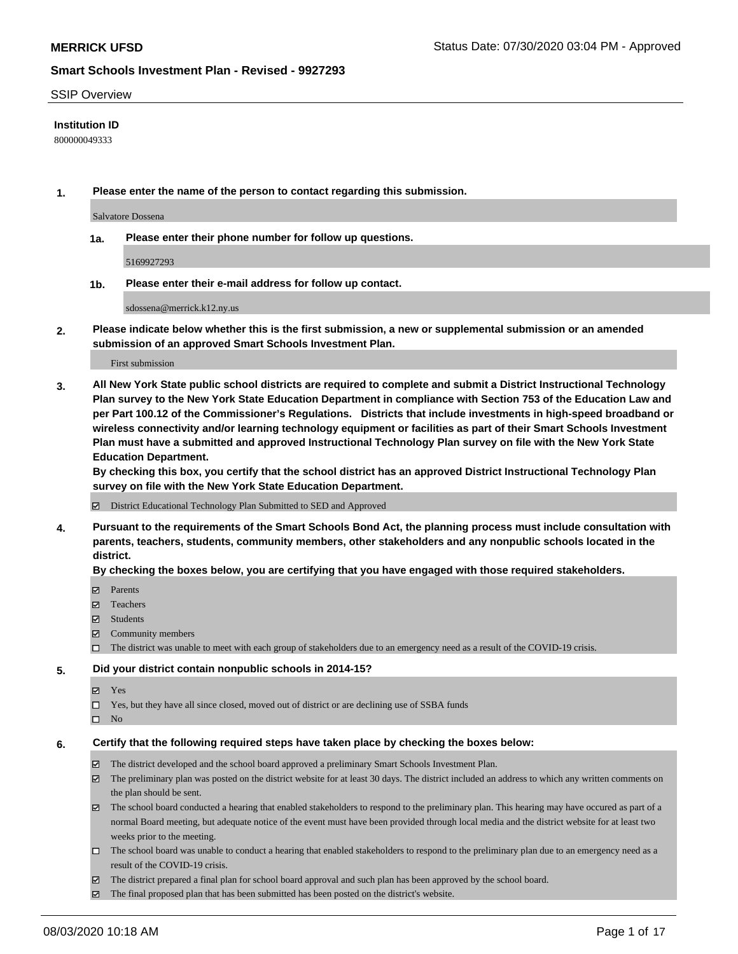### SSIP Overview

## **Institution ID**

800000049333

**1. Please enter the name of the person to contact regarding this submission.**

Salvatore Dossena

**1a. Please enter their phone number for follow up questions.**

5169927293

**1b. Please enter their e-mail address for follow up contact.**

sdossena@merrick.k12.ny.us

**2. Please indicate below whether this is the first submission, a new or supplemental submission or an amended submission of an approved Smart Schools Investment Plan.**

### First submission

**3. All New York State public school districts are required to complete and submit a District Instructional Technology Plan survey to the New York State Education Department in compliance with Section 753 of the Education Law and per Part 100.12 of the Commissioner's Regulations. Districts that include investments in high-speed broadband or wireless connectivity and/or learning technology equipment or facilities as part of their Smart Schools Investment Plan must have a submitted and approved Instructional Technology Plan survey on file with the New York State Education Department.** 

**By checking this box, you certify that the school district has an approved District Instructional Technology Plan survey on file with the New York State Education Department.**

District Educational Technology Plan Submitted to SED and Approved

**4. Pursuant to the requirements of the Smart Schools Bond Act, the planning process must include consultation with parents, teachers, students, community members, other stakeholders and any nonpublic schools located in the district.** 

#### **By checking the boxes below, you are certifying that you have engaged with those required stakeholders.**

- **□** Parents
- Teachers
- Students
- $\boxtimes$  Community members
- The district was unable to meet with each group of stakeholders due to an emergency need as a result of the COVID-19 crisis.

### **5. Did your district contain nonpublic schools in 2014-15?**

- **冈** Yes
- Yes, but they have all since closed, moved out of district or are declining use of SSBA funds
- $\square$  No

#### **6. Certify that the following required steps have taken place by checking the boxes below:**

- The district developed and the school board approved a preliminary Smart Schools Investment Plan.
- $\boxtimes$  The preliminary plan was posted on the district website for at least 30 days. The district included an address to which any written comments on the plan should be sent.
- The school board conducted a hearing that enabled stakeholders to respond to the preliminary plan. This hearing may have occured as part of a normal Board meeting, but adequate notice of the event must have been provided through local media and the district website for at least two weeks prior to the meeting.
- The school board was unable to conduct a hearing that enabled stakeholders to respond to the preliminary plan due to an emergency need as a result of the COVID-19 crisis.
- The district prepared a final plan for school board approval and such plan has been approved by the school board.
- $\boxtimes$  The final proposed plan that has been submitted has been posted on the district's website.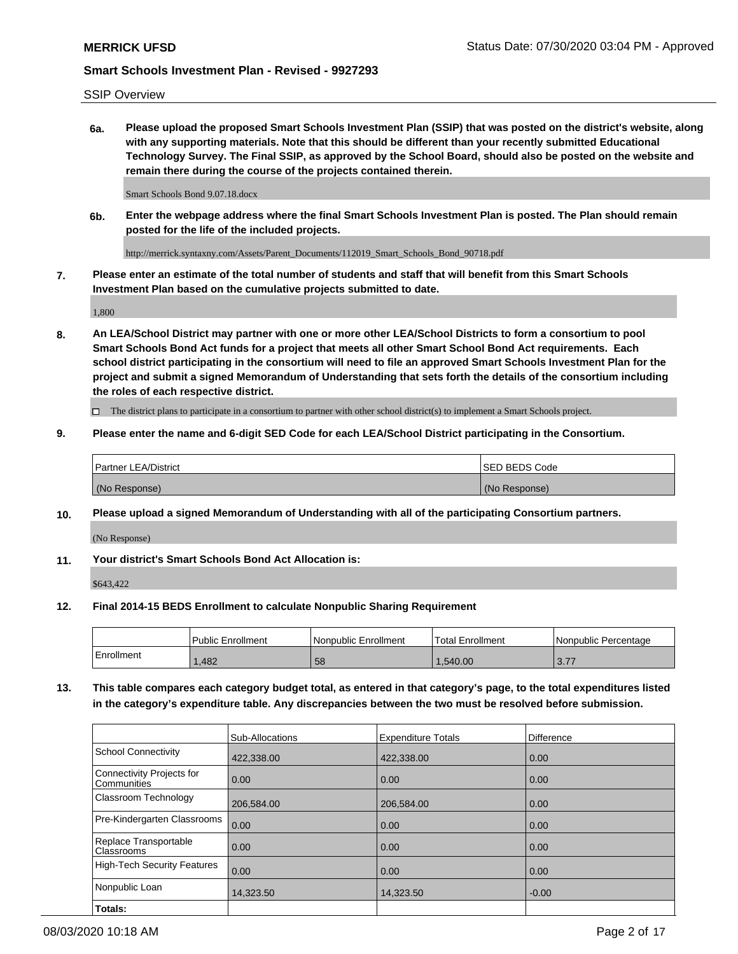## SSIP Overview

**6a. Please upload the proposed Smart Schools Investment Plan (SSIP) that was posted on the district's website, along with any supporting materials. Note that this should be different than your recently submitted Educational Technology Survey. The Final SSIP, as approved by the School Board, should also be posted on the website and remain there during the course of the projects contained therein.**

Smart Schools Bond 9.07.18.docx

**6b. Enter the webpage address where the final Smart Schools Investment Plan is posted. The Plan should remain posted for the life of the included projects.**

http://merrick.syntaxny.com/Assets/Parent\_Documents/112019\_Smart\_Schools\_Bond\_90718.pdf

**7. Please enter an estimate of the total number of students and staff that will benefit from this Smart Schools Investment Plan based on the cumulative projects submitted to date.**

1,800

**8. An LEA/School District may partner with one or more other LEA/School Districts to form a consortium to pool Smart Schools Bond Act funds for a project that meets all other Smart School Bond Act requirements. Each school district participating in the consortium will need to file an approved Smart Schools Investment Plan for the project and submit a signed Memorandum of Understanding that sets forth the details of the consortium including the roles of each respective district.**

 $\Box$  The district plans to participate in a consortium to partner with other school district(s) to implement a Smart Schools project.

## **9. Please enter the name and 6-digit SED Code for each LEA/School District participating in the Consortium.**

| Partner LEA/District | <b>ISED BEDS Code</b> |
|----------------------|-----------------------|
| (No Response)        | (No Response)         |

## **10. Please upload a signed Memorandum of Understanding with all of the participating Consortium partners.**

(No Response)

**11. Your district's Smart Schools Bond Act Allocation is:**

\$643,422

#### **12. Final 2014-15 BEDS Enrollment to calculate Nonpublic Sharing Requirement**

|            | Public Enrollment | Nonpublic Enrollment | <b>Total Enrollment</b> | I Nonpublic Percentage              |
|------------|-------------------|----------------------|-------------------------|-------------------------------------|
| Enrollment | .482              | 58                   | .540.00                 | 77<br>$\mathsf{U} \cdot \mathsf{I}$ |

**13. This table compares each category budget total, as entered in that category's page, to the total expenditures listed in the category's expenditure table. Any discrepancies between the two must be resolved before submission.**

|                                          | Sub-Allocations | <b>Expenditure Totals</b> | <b>Difference</b> |
|------------------------------------------|-----------------|---------------------------|-------------------|
| <b>School Connectivity</b>               | 422,338.00      | 422,338.00                | 0.00              |
| Connectivity Projects for<br>Communities | 0.00            | 0.00                      | 0.00              |
| Classroom Technology                     | 206,584.00      | 206,584.00                | 0.00              |
| Pre-Kindergarten Classrooms              | 0.00            | 0.00                      | 0.00              |
| Replace Transportable<br>Classrooms      | 0.00            | 0.00                      | 0.00              |
| <b>High-Tech Security Features</b>       | 0.00            | 0.00                      | 0.00              |
| Nonpublic Loan                           | 14,323.50       | 14,323.50                 | $-0.00$           |
| Totals:                                  |                 |                           |                   |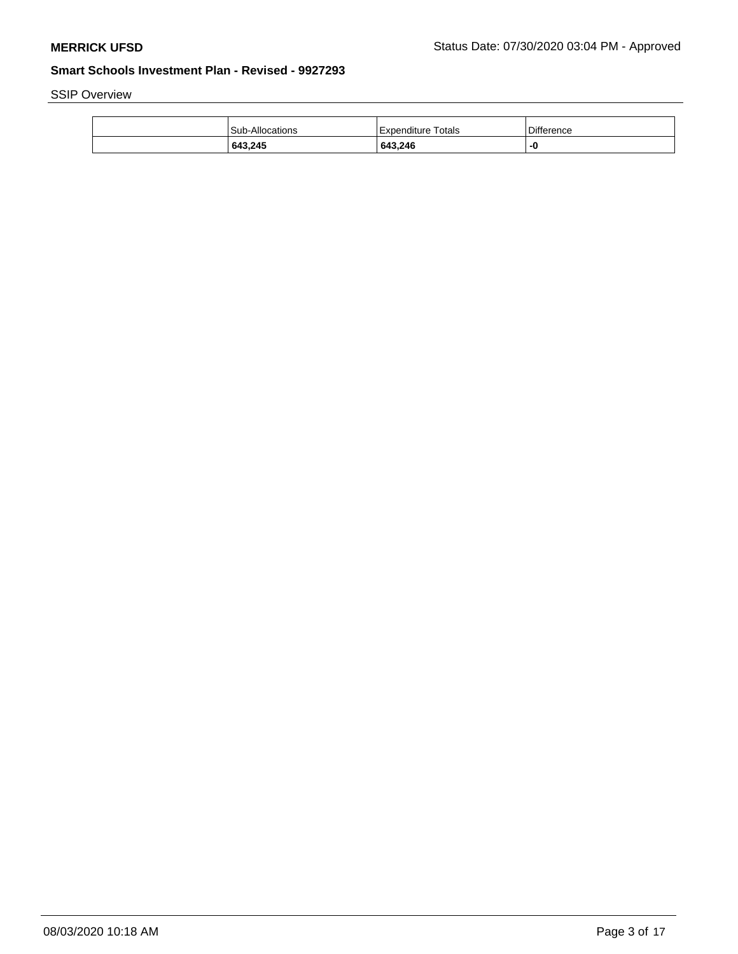SSIP Overview

| 643,245         | 643,246              | -0         |
|-----------------|----------------------|------------|
| Sub-Allocations | l Expenditure Totals | Difference |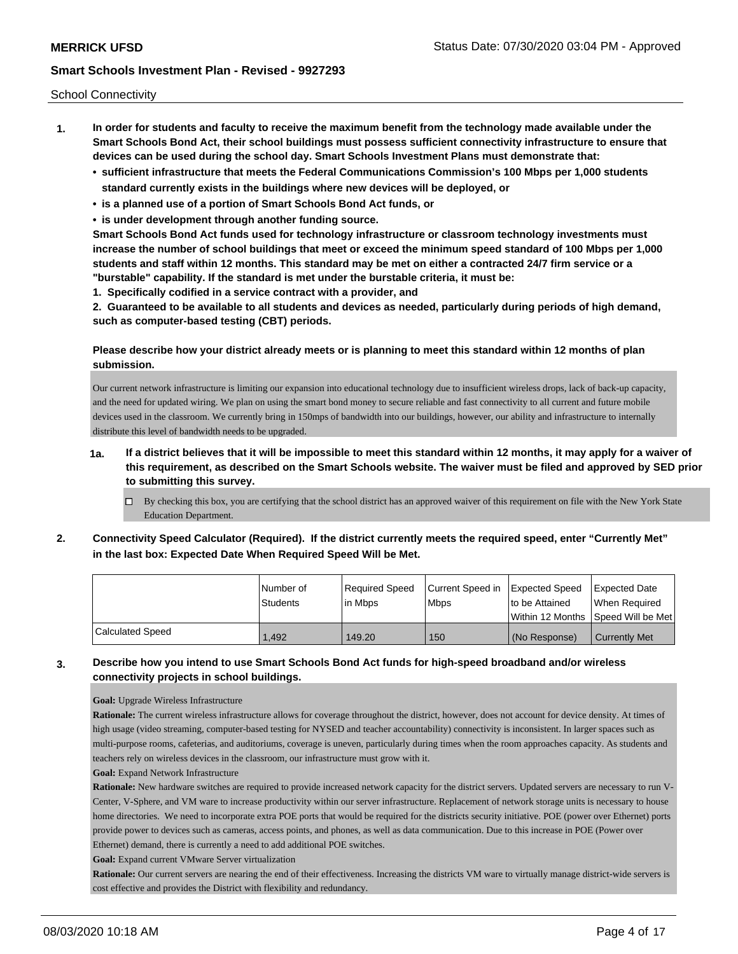School Connectivity

- **1. In order for students and faculty to receive the maximum benefit from the technology made available under the Smart Schools Bond Act, their school buildings must possess sufficient connectivity infrastructure to ensure that devices can be used during the school day. Smart Schools Investment Plans must demonstrate that:**
	- **• sufficient infrastructure that meets the Federal Communications Commission's 100 Mbps per 1,000 students standard currently exists in the buildings where new devices will be deployed, or**
	- **• is a planned use of a portion of Smart Schools Bond Act funds, or**
	- **• is under development through another funding source.**

**Smart Schools Bond Act funds used for technology infrastructure or classroom technology investments must increase the number of school buildings that meet or exceed the minimum speed standard of 100 Mbps per 1,000 students and staff within 12 months. This standard may be met on either a contracted 24/7 firm service or a "burstable" capability. If the standard is met under the burstable criteria, it must be:**

**1. Specifically codified in a service contract with a provider, and**

**2. Guaranteed to be available to all students and devices as needed, particularly during periods of high demand, such as computer-based testing (CBT) periods.**

# **Please describe how your district already meets or is planning to meet this standard within 12 months of plan submission.**

Our current network infrastructure is limiting our expansion into educational technology due to insufficient wireless drops, lack of back-up capacity, and the need for updated wiring. We plan on using the smart bond money to secure reliable and fast connectivity to all current and future mobile devices used in the classroom. We currently bring in 150mps of bandwidth into our buildings, however, our ability and infrastructure to internally distribute this level of bandwidth needs to be upgraded.

- **1a. If a district believes that it will be impossible to meet this standard within 12 months, it may apply for a waiver of this requirement, as described on the Smart Schools website. The waiver must be filed and approved by SED prior to submitting this survey.**
	- $\Box$  By checking this box, you are certifying that the school district has an approved waiver of this requirement on file with the New York State Education Department.
- **2. Connectivity Speed Calculator (Required). If the district currently meets the required speed, enter "Currently Met" in the last box: Expected Date When Required Speed Will be Met.**

|                         | l Number of     | Required Speed | Current Speed in | <b>Expected Speed</b> | Expected Date                        |
|-------------------------|-----------------|----------------|------------------|-----------------------|--------------------------------------|
|                         | <b>Students</b> | 'in Mbps       | <b>Mbps</b>      | to be Attained        | When Required                        |
|                         |                 |                |                  |                       | Within 12 Months 1Speed Will be Met1 |
| <b>Calculated Speed</b> | 1.492           | 149.20         | 150              | (No Response)         | <b>Currently Met</b>                 |

# **3. Describe how you intend to use Smart Schools Bond Act funds for high-speed broadband and/or wireless connectivity projects in school buildings.**

#### **Goal:** Upgrade Wireless Infrastructure

**Rationale:** The current wireless infrastructure allows for coverage throughout the district, however, does not account for device density. At times of high usage (video streaming, computer-based testing for NYSED and teacher accountability) connectivity is inconsistent. In larger spaces such as multi-purpose rooms, cafeterias, and auditoriums, coverage is uneven, particularly during times when the room approaches capacity. As students and teachers rely on wireless devices in the classroom, our infrastructure must grow with it.

### **Goal:** Expand Network Infrastructure

Rationale: New hardware switches are required to provide increased network capacity for the district servers. Updated servers are necessary to run V-Center, V-Sphere, and VM ware to increase productivity within our server infrastructure. Replacement of network storage units is necessary to house home directories. We need to incorporate extra POE ports that would be required for the districts security initiative. POE (power over Ethernet) ports provide power to devices such as cameras, access points, and phones, as well as data communication. Due to this increase in POE (Power over Ethernet) demand, there is currently a need to add additional POE switches.

**Goal:** Expand current VMware Server virtualization

**Rationale:** Our current servers are nearing the end of their effectiveness. Increasing the districts VM ware to virtually manage district-wide servers is cost effective and provides the District with flexibility and redundancy.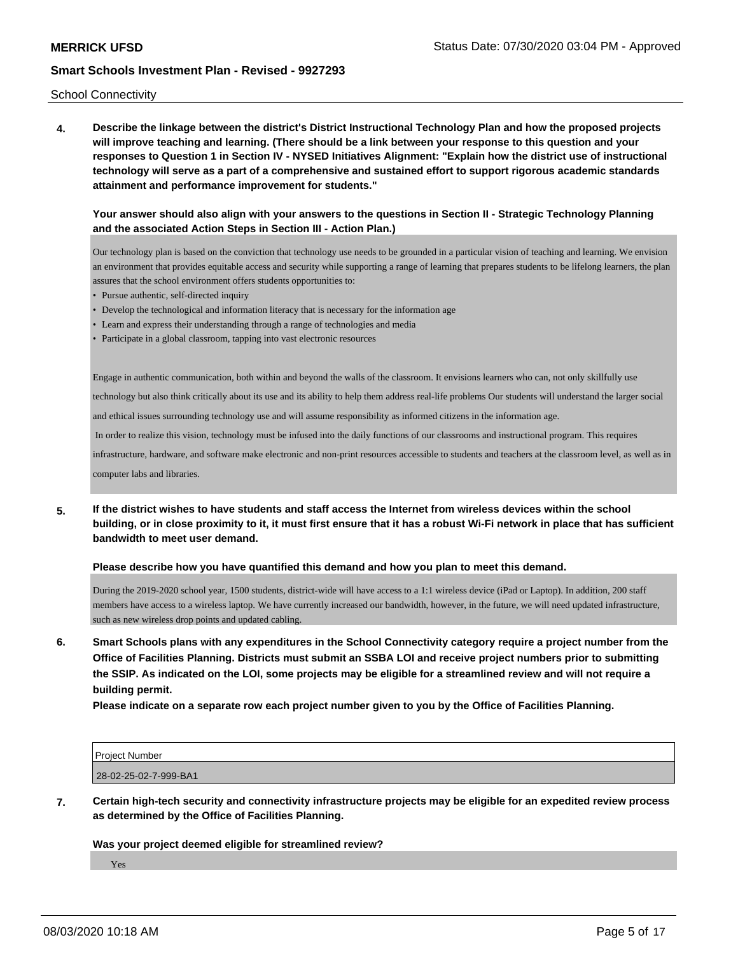School Connectivity

**4. Describe the linkage between the district's District Instructional Technology Plan and how the proposed projects will improve teaching and learning. (There should be a link between your response to this question and your responses to Question 1 in Section IV - NYSED Initiatives Alignment: "Explain how the district use of instructional technology will serve as a part of a comprehensive and sustained effort to support rigorous academic standards attainment and performance improvement for students."** 

## **Your answer should also align with your answers to the questions in Section II - Strategic Technology Planning and the associated Action Steps in Section III - Action Plan.)**

Our technology plan is based on the conviction that technology use needs to be grounded in a particular vision of teaching and learning. We envision an environment that provides equitable access and security while supporting a range of learning that prepares students to be lifelong learners, the plan assures that the school environment offers students opportunities to:

- Pursue authentic, self-directed inquiry
- Develop the technological and information literacy that is necessary for the information age
- Learn and express their understanding through a range of technologies and media
- Participate in a global classroom, tapping into vast electronic resources

Engage in authentic communication, both within and beyond the walls of the classroom. It envisions learners who can, not only skillfully use

technology but also think critically about its use and its ability to help them address real-life problems Our students will understand the larger social

and ethical issues surrounding technology use and will assume responsibility as informed citizens in the information age.

In order to realize this vision, technology must be infused into the daily functions of our classrooms and instructional program. This requires

infrastructure, hardware, and software make electronic and non-print resources accessible to students and teachers at the classroom level, as well as in computer labs and libraries.

**5. If the district wishes to have students and staff access the Internet from wireless devices within the school building, or in close proximity to it, it must first ensure that it has a robust Wi-Fi network in place that has sufficient bandwidth to meet user demand.**

#### **Please describe how you have quantified this demand and how you plan to meet this demand.**

During the 2019-2020 school year, 1500 students, district-wide will have access to a 1:1 wireless device (iPad or Laptop). In addition, 200 staff members have access to a wireless laptop. We have currently increased our bandwidth, however, in the future, we will need updated infrastructure, such as new wireless drop points and updated cabling.

**6. Smart Schools plans with any expenditures in the School Connectivity category require a project number from the Office of Facilities Planning. Districts must submit an SSBA LOI and receive project numbers prior to submitting the SSIP. As indicated on the LOI, some projects may be eligible for a streamlined review and will not require a building permit.**

**Please indicate on a separate row each project number given to you by the Office of Facilities Planning.**

| <b>Project Number</b> |  |  |
|-----------------------|--|--|
| 28-02-25-02-7-999-BA1 |  |  |

**7. Certain high-tech security and connectivity infrastructure projects may be eligible for an expedited review process as determined by the Office of Facilities Planning.**

#### **Was your project deemed eligible for streamlined review?**

Yes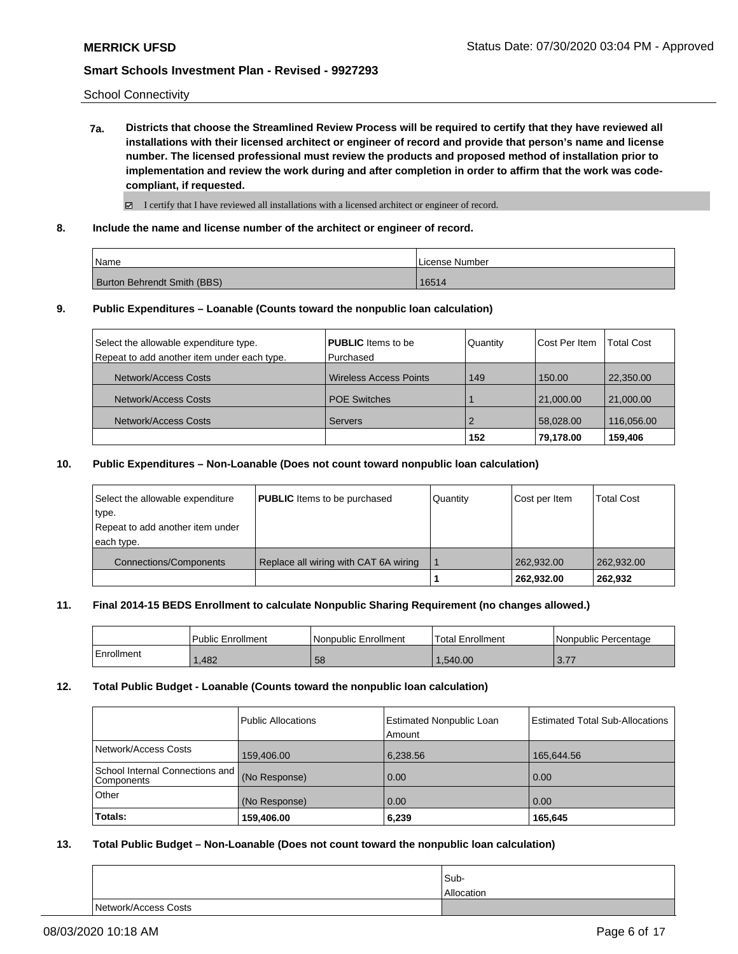School Connectivity

**7a. Districts that choose the Streamlined Review Process will be required to certify that they have reviewed all installations with their licensed architect or engineer of record and provide that person's name and license number. The licensed professional must review the products and proposed method of installation prior to implementation and review the work during and after completion in order to affirm that the work was codecompliant, if requested.**

 $\boxtimes$  I certify that I have reviewed all installations with a licensed architect or engineer of record.

**8. Include the name and license number of the architect or engineer of record.**

| Name                        | License Number |
|-----------------------------|----------------|
| Burton Behrendt Smith (BBS) | 16514          |

### **9. Public Expenditures – Loanable (Counts toward the nonpublic loan calculation)**

| Select the allowable expenditure type.      | <b>PUBLIC</b> Items to be     | Quantity | Cost Per Item | <b>Total Cost</b> |
|---------------------------------------------|-------------------------------|----------|---------------|-------------------|
| Repeat to add another item under each type. | l Purchased                   |          |               |                   |
| Network/Access Costs                        | <b>Wireless Access Points</b> | 149      | 150.00        | 22,350.00         |
| Network/Access Costs                        | <b>POE Switches</b>           |          | 21,000.00     | 21,000.00         |
| Network/Access Costs                        | <b>Servers</b>                |          | 58,028.00     | 116,056.00        |
|                                             |                               | 152      | 79.178.00     | 159,406           |

### **10. Public Expenditures – Non-Loanable (Does not count toward nonpublic loan calculation)**

| Select the allowable expenditure | <b>PUBLIC</b> Items to be purchased   | Quantity | Cost per Item | <b>Total Cost</b> |
|----------------------------------|---------------------------------------|----------|---------------|-------------------|
| type.                            |                                       |          |               |                   |
| Repeat to add another item under |                                       |          |               |                   |
| each type.                       |                                       |          |               |                   |
| <b>Connections/Components</b>    | Replace all wiring with CAT 6A wiring |          | 262.932.00    | 262,932.00        |
|                                  |                                       |          | 262.932.00    | 262.932           |

### **11. Final 2014-15 BEDS Enrollment to calculate Nonpublic Sharing Requirement (no changes allowed.)**

|            | Public Enrollment | l Nonpublic Enrollment | Total Enrollment | l Nonpublic Percentage |
|------------|-------------------|------------------------|------------------|------------------------|
| Enrollment | 1,482             | 58                     | .540.00          | 27<br>0.11             |

#### **12. Total Public Budget - Loanable (Counts toward the nonpublic loan calculation)**

|                                                  | Public Allocations | Estimated Nonpublic Loan<br>Amount | <b>Estimated Total Sub-Allocations</b> |
|--------------------------------------------------|--------------------|------------------------------------|----------------------------------------|
| Network/Access Costs                             | 159,406.00         | 6,238.56                           | 165,644.56                             |
| School Internal Connections and   <br>Components | (No Response)      | 0.00                               | 0.00                                   |
| <b>Other</b>                                     | (No Response)      | 0.00                               | 0.00                                   |
| Totals:                                          | 159,406.00         | 6,239                              | 165.645                                |

## **13. Total Public Budget – Non-Loanable (Does not count toward the nonpublic loan calculation)**

|                      | Sub-       |
|----------------------|------------|
|                      | Allocation |
| Network/Access Costs |            |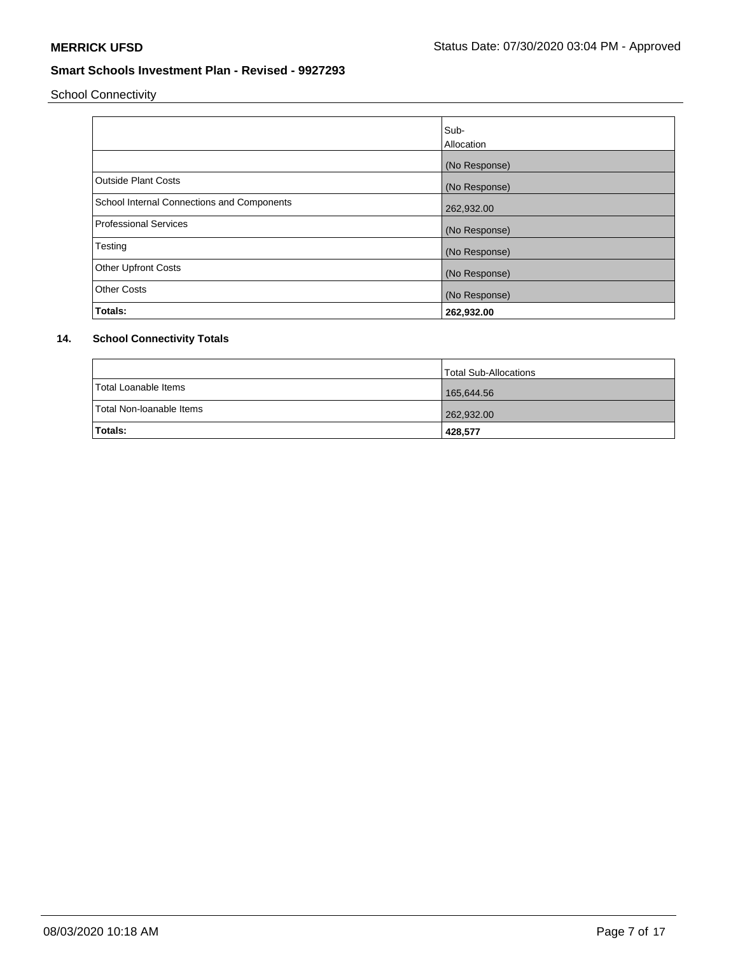School Connectivity

|                                            | Sub-<br><b>Allocation</b> |
|--------------------------------------------|---------------------------|
|                                            | (No Response)             |
| <b>Outside Plant Costs</b>                 | (No Response)             |
| School Internal Connections and Components | 262,932.00                |
| <b>Professional Services</b>               | (No Response)             |
| Testing                                    | (No Response)             |
| <b>Other Upfront Costs</b>                 | (No Response)             |
| <b>Other Costs</b>                         | (No Response)             |
| Totals:                                    | 262,932.00                |

# **14. School Connectivity Totals**

|                          | Total Sub-Allocations |
|--------------------------|-----------------------|
| Total Loanable Items     | 165,644.56            |
| Total Non-loanable Items | 262,932.00            |
| <b>Totals:</b>           | 428,577               |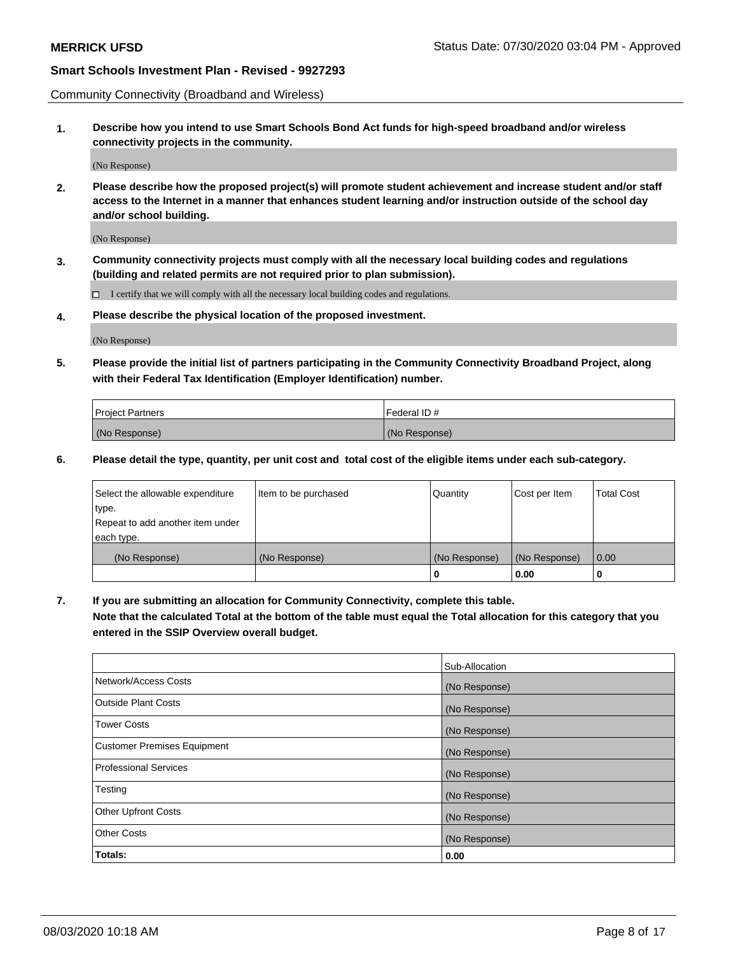Community Connectivity (Broadband and Wireless)

**1. Describe how you intend to use Smart Schools Bond Act funds for high-speed broadband and/or wireless connectivity projects in the community.**

(No Response)

**2. Please describe how the proposed project(s) will promote student achievement and increase student and/or staff access to the Internet in a manner that enhances student learning and/or instruction outside of the school day and/or school building.**

(No Response)

**3. Community connectivity projects must comply with all the necessary local building codes and regulations (building and related permits are not required prior to plan submission).**

 $\Box$  I certify that we will comply with all the necessary local building codes and regulations.

**4. Please describe the physical location of the proposed investment.**

(No Response)

**5. Please provide the initial list of partners participating in the Community Connectivity Broadband Project, along with their Federal Tax Identification (Employer Identification) number.**

| <b>Project Partners</b> | l Federal ID # |
|-------------------------|----------------|
| (No Response)           | (No Response)  |

**6. Please detail the type, quantity, per unit cost and total cost of the eligible items under each sub-category.**

| Select the allowable expenditure | Item to be purchased | Quantity      | Cost per Item | <b>Total Cost</b> |
|----------------------------------|----------------------|---------------|---------------|-------------------|
| type.                            |                      |               |               |                   |
| Repeat to add another item under |                      |               |               |                   |
| each type.                       |                      |               |               |                   |
| (No Response)                    | (No Response)        | (No Response) | (No Response) | 0.00              |
|                                  |                      | o             | 0.00          |                   |

**7. If you are submitting an allocation for Community Connectivity, complete this table.**

**Note that the calculated Total at the bottom of the table must equal the Total allocation for this category that you entered in the SSIP Overview overall budget.**

|                                    | Sub-Allocation |
|------------------------------------|----------------|
| Network/Access Costs               | (No Response)  |
| Outside Plant Costs                | (No Response)  |
| <b>Tower Costs</b>                 | (No Response)  |
| <b>Customer Premises Equipment</b> | (No Response)  |
| <b>Professional Services</b>       | (No Response)  |
| Testing                            | (No Response)  |
| <b>Other Upfront Costs</b>         | (No Response)  |
| <b>Other Costs</b>                 | (No Response)  |
| Totals:                            | 0.00           |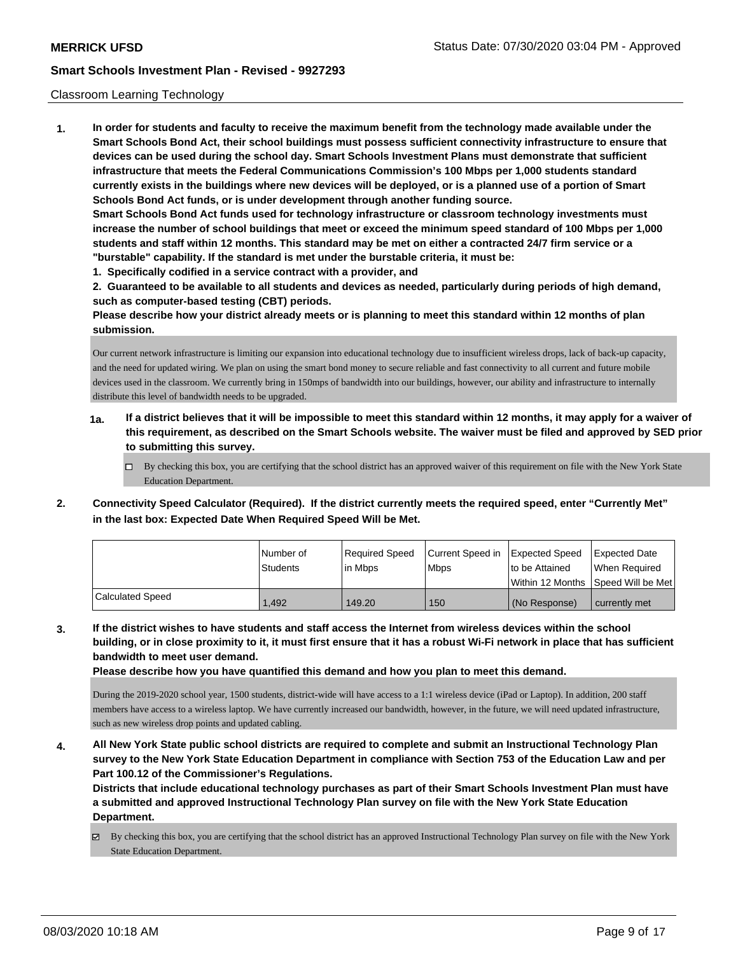## Classroom Learning Technology

**1. In order for students and faculty to receive the maximum benefit from the technology made available under the Smart Schools Bond Act, their school buildings must possess sufficient connectivity infrastructure to ensure that devices can be used during the school day. Smart Schools Investment Plans must demonstrate that sufficient infrastructure that meets the Federal Communications Commission's 100 Mbps per 1,000 students standard currently exists in the buildings where new devices will be deployed, or is a planned use of a portion of Smart Schools Bond Act funds, or is under development through another funding source. Smart Schools Bond Act funds used for technology infrastructure or classroom technology investments must increase the number of school buildings that meet or exceed the minimum speed standard of 100 Mbps per 1,000 students and staff within 12 months. This standard may be met on either a contracted 24/7 firm service or a "burstable" capability. If the standard is met under the burstable criteria, it must be:**

**1. Specifically codified in a service contract with a provider, and**

**2. Guaranteed to be available to all students and devices as needed, particularly during periods of high demand, such as computer-based testing (CBT) periods.**

**Please describe how your district already meets or is planning to meet this standard within 12 months of plan submission.**

Our current network infrastructure is limiting our expansion into educational technology due to insufficient wireless drops, lack of back-up capacity, and the need for updated wiring. We plan on using the smart bond money to secure reliable and fast connectivity to all current and future mobile devices used in the classroom. We currently bring in 150mps of bandwidth into our buildings, however, our ability and infrastructure to internally distribute this level of bandwidth needs to be upgraded.

- **1a. If a district believes that it will be impossible to meet this standard within 12 months, it may apply for a waiver of this requirement, as described on the Smart Schools website. The waiver must be filed and approved by SED prior to submitting this survey.**
	- By checking this box, you are certifying that the school district has an approved waiver of this requirement on file with the New York State Education Department.
- **2. Connectivity Speed Calculator (Required). If the district currently meets the required speed, enter "Currently Met" in the last box: Expected Date When Required Speed Will be Met.**

|                  | l Number of<br>Students | Reauired Speed<br>l in Mbps | Current Speed in Expected Speed<br><b>Mbps</b> | to be Attained | <b>Expected Date</b><br>When Required   |
|------------------|-------------------------|-----------------------------|------------------------------------------------|----------------|-----------------------------------------|
|                  |                         |                             |                                                |                | l Within 12 Months ISpeed Will be Met l |
| Calculated Speed | 1.492                   | 149.20                      | 150                                            | (No Response)  | currently met                           |

**3. If the district wishes to have students and staff access the Internet from wireless devices within the school building, or in close proximity to it, it must first ensure that it has a robust Wi-Fi network in place that has sufficient bandwidth to meet user demand.**

**Please describe how you have quantified this demand and how you plan to meet this demand.**

During the 2019-2020 school year, 1500 students, district-wide will have access to a 1:1 wireless device (iPad or Laptop). In addition, 200 staff members have access to a wireless laptop. We have currently increased our bandwidth, however, in the future, we will need updated infrastructure, such as new wireless drop points and updated cabling.

**4. All New York State public school districts are required to complete and submit an Instructional Technology Plan survey to the New York State Education Department in compliance with Section 753 of the Education Law and per Part 100.12 of the Commissioner's Regulations.**

**Districts that include educational technology purchases as part of their Smart Schools Investment Plan must have a submitted and approved Instructional Technology Plan survey on file with the New York State Education Department.**

 $\boxtimes$  By checking this box, you are certifying that the school district has an approved Instructional Technology Plan survey on file with the New York State Education Department.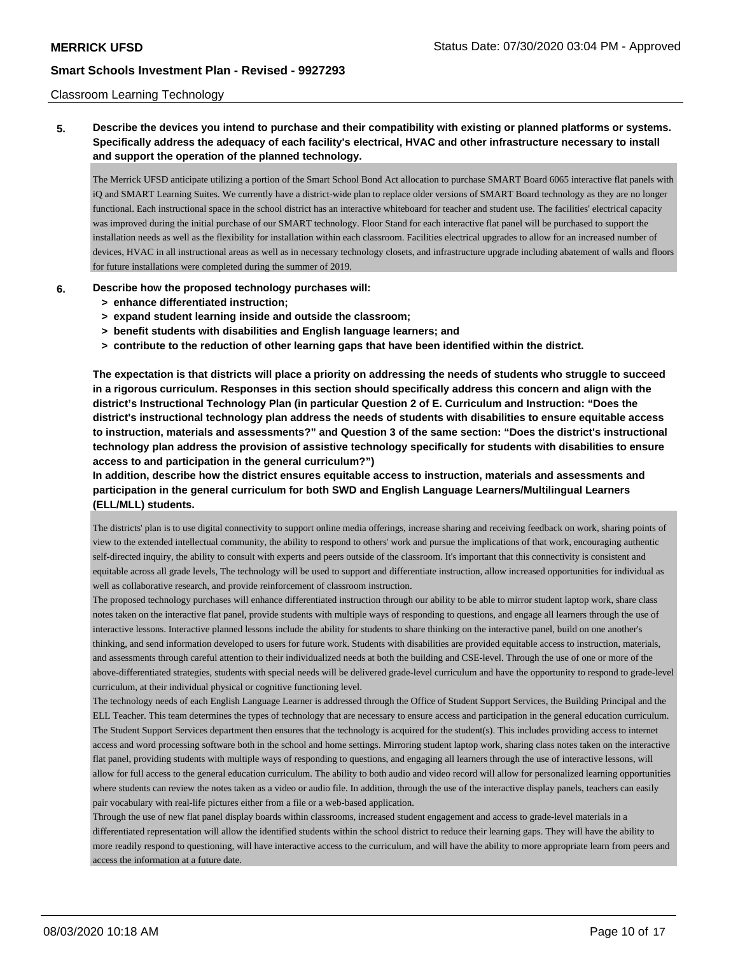## Classroom Learning Technology

# **5. Describe the devices you intend to purchase and their compatibility with existing or planned platforms or systems. Specifically address the adequacy of each facility's electrical, HVAC and other infrastructure necessary to install and support the operation of the planned technology.**

The Merrick UFSD anticipate utilizing a portion of the Smart School Bond Act allocation to purchase SMART Board 6065 interactive flat panels with iQ and SMART Learning Suites. We currently have a district-wide plan to replace older versions of SMART Board technology as they are no longer functional. Each instructional space in the school district has an interactive whiteboard for teacher and student use. The facilities' electrical capacity was improved during the initial purchase of our SMART technology. Floor Stand for each interactive flat panel will be purchased to support the installation needs as well as the flexibility for installation within each classroom. Facilities electrical upgrades to allow for an increased number of devices, HVAC in all instructional areas as well as in necessary technology closets, and infrastructure upgrade including abatement of walls and floors for future installations were completed during the summer of 2019.

## **6. Describe how the proposed technology purchases will:**

- **> enhance differentiated instruction;**
- **> expand student learning inside and outside the classroom;**
- **> benefit students with disabilities and English language learners; and**
- **> contribute to the reduction of other learning gaps that have been identified within the district.**

**The expectation is that districts will place a priority on addressing the needs of students who struggle to succeed in a rigorous curriculum. Responses in this section should specifically address this concern and align with the district's Instructional Technology Plan (in particular Question 2 of E. Curriculum and Instruction: "Does the district's instructional technology plan address the needs of students with disabilities to ensure equitable access to instruction, materials and assessments?" and Question 3 of the same section: "Does the district's instructional technology plan address the provision of assistive technology specifically for students with disabilities to ensure access to and participation in the general curriculum?")**

**In addition, describe how the district ensures equitable access to instruction, materials and assessments and participation in the general curriculum for both SWD and English Language Learners/Multilingual Learners (ELL/MLL) students.**

The districts' plan is to use digital connectivity to support online media offerings, increase sharing and receiving feedback on work, sharing points of view to the extended intellectual community, the ability to respond to others' work and pursue the implications of that work, encouraging authentic self-directed inquiry, the ability to consult with experts and peers outside of the classroom. It's important that this connectivity is consistent and equitable across all grade levels, The technology will be used to support and differentiate instruction, allow increased opportunities for individual as well as collaborative research, and provide reinforcement of classroom instruction.

The proposed technology purchases will enhance differentiated instruction through our ability to be able to mirror student laptop work, share class notes taken on the interactive flat panel, provide students with multiple ways of responding to questions, and engage all learners through the use of interactive lessons. Interactive planned lessons include the ability for students to share thinking on the interactive panel, build on one another's thinking, and send information developed to users for future work. Students with disabilities are provided equitable access to instruction, materials, and assessments through careful attention to their individualized needs at both the building and CSE-level. Through the use of one or more of the above-differentiated strategies, students with special needs will be delivered grade-level curriculum and have the opportunity to respond to grade-level curriculum, at their individual physical or cognitive functioning level.

The technology needs of each English Language Learner is addressed through the Office of Student Support Services, the Building Principal and the ELL Teacher. This team determines the types of technology that are necessary to ensure access and participation in the general education curriculum. The Student Support Services department then ensures that the technology is acquired for the student(s). This includes providing access to internet access and word processing software both in the school and home settings. Mirroring student laptop work, sharing class notes taken on the interactive flat panel, providing students with multiple ways of responding to questions, and engaging all learners through the use of interactive lessons, will allow for full access to the general education curriculum. The ability to both audio and video record will allow for personalized learning opportunities where students can review the notes taken as a video or audio file. In addition, through the use of the interactive display panels, teachers can easily pair vocabulary with real-life pictures either from a file or a web-based application.

Through the use of new flat panel display boards within classrooms, increased student engagement and access to grade-level materials in a differentiated representation will allow the identified students within the school district to reduce their learning gaps. They will have the ability to more readily respond to questioning, will have interactive access to the curriculum, and will have the ability to more appropriate learn from peers and access the information at a future date.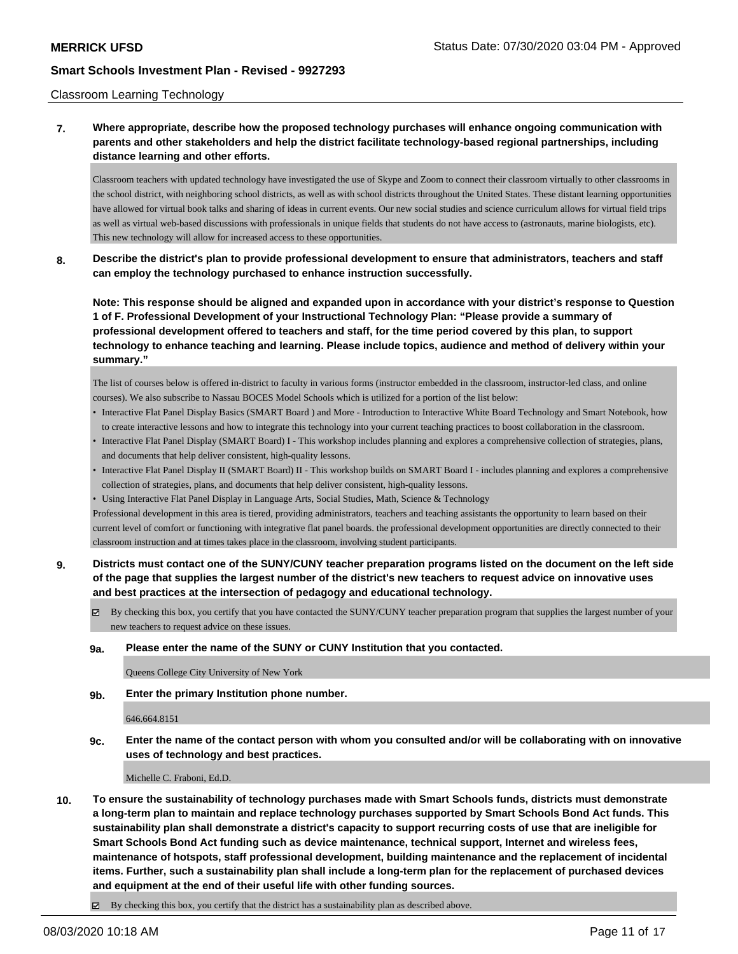## Classroom Learning Technology

# **7. Where appropriate, describe how the proposed technology purchases will enhance ongoing communication with parents and other stakeholders and help the district facilitate technology-based regional partnerships, including distance learning and other efforts.**

Classroom teachers with updated technology have investigated the use of Skype and Zoom to connect their classroom virtually to other classrooms in the school district, with neighboring school districts, as well as with school districts throughout the United States. These distant learning opportunities have allowed for virtual book talks and sharing of ideas in current events. Our new social studies and science curriculum allows for virtual field trips as well as virtual web-based discussions with professionals in unique fields that students do not have access to (astronauts, marine biologists, etc). This new technology will allow for increased access to these opportunities.

**8. Describe the district's plan to provide professional development to ensure that administrators, teachers and staff can employ the technology purchased to enhance instruction successfully.**

**Note: This response should be aligned and expanded upon in accordance with your district's response to Question 1 of F. Professional Development of your Instructional Technology Plan: "Please provide a summary of professional development offered to teachers and staff, for the time period covered by this plan, to support technology to enhance teaching and learning. Please include topics, audience and method of delivery within your summary."**

The list of courses below is offered in-district to faculty in various forms (instructor embedded in the classroom, instructor-led class, and online courses). We also subscribe to Nassau BOCES Model Schools which is utilized for a portion of the list below:

- Interactive Flat Panel Display Basics (SMART Board ) and More Introduction to Interactive White Board Technology and Smart Notebook, how to create interactive lessons and how to integrate this technology into your current teaching practices to boost collaboration in the classroom.
- Interactive Flat Panel Display (SMART Board) I This workshop includes planning and explores a comprehensive collection of strategies, plans, and documents that help deliver consistent, high-quality lessons.
- Interactive Flat Panel Display II (SMART Board) II This workshop builds on SMART Board I includes planning and explores a comprehensive collection of strategies, plans, and documents that help deliver consistent, high-quality lessons.
- Using Interactive Flat Panel Display in Language Arts, Social Studies, Math, Science & Technology

Professional development in this area is tiered, providing administrators, teachers and teaching assistants the opportunity to learn based on their current level of comfort or functioning with integrative flat panel boards. the professional development opportunities are directly connected to their classroom instruction and at times takes place in the classroom, involving student participants.

- **9. Districts must contact one of the SUNY/CUNY teacher preparation programs listed on the document on the left side of the page that supplies the largest number of the district's new teachers to request advice on innovative uses and best practices at the intersection of pedagogy and educational technology.**
	- $\boxtimes$  By checking this box, you certify that you have contacted the SUNY/CUNY teacher preparation program that supplies the largest number of your new teachers to request advice on these issues.

#### **9a. Please enter the name of the SUNY or CUNY Institution that you contacted.**

Queens College City University of New York

**9b. Enter the primary Institution phone number.**

646.664.8151

**9c. Enter the name of the contact person with whom you consulted and/or will be collaborating with on innovative uses of technology and best practices.**

Michelle C. Fraboni, Ed.D.

**10. To ensure the sustainability of technology purchases made with Smart Schools funds, districts must demonstrate a long-term plan to maintain and replace technology purchases supported by Smart Schools Bond Act funds. This sustainability plan shall demonstrate a district's capacity to support recurring costs of use that are ineligible for Smart Schools Bond Act funding such as device maintenance, technical support, Internet and wireless fees, maintenance of hotspots, staff professional development, building maintenance and the replacement of incidental items. Further, such a sustainability plan shall include a long-term plan for the replacement of purchased devices and equipment at the end of their useful life with other funding sources.**

By checking this box, you certify that the district has a sustainability plan as described above.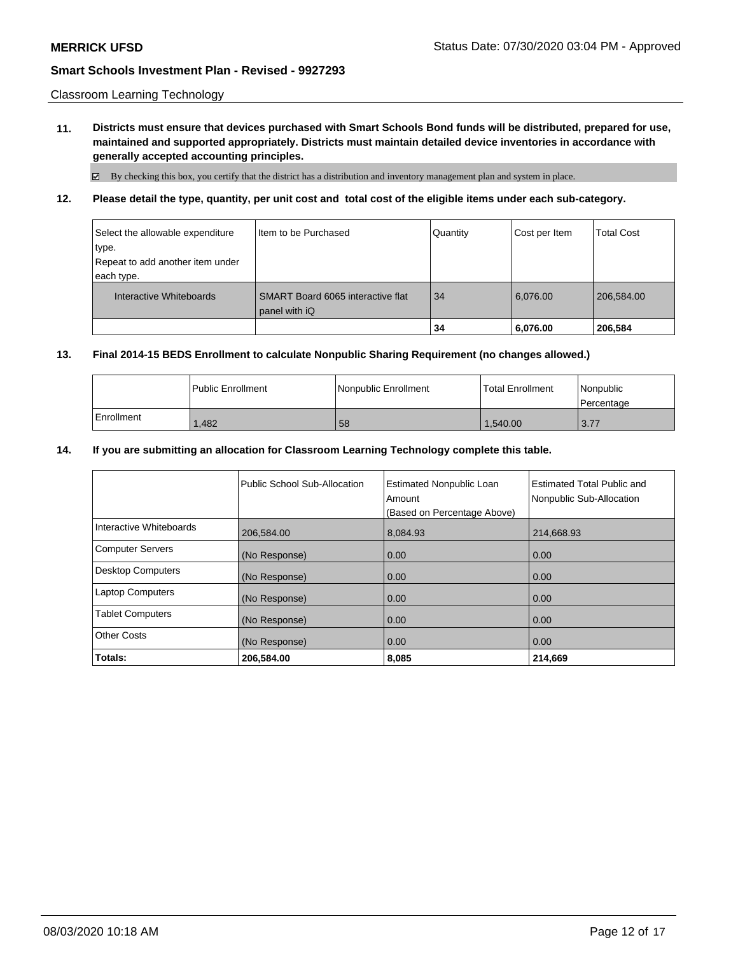Classroom Learning Technology

**11. Districts must ensure that devices purchased with Smart Schools Bond funds will be distributed, prepared for use, maintained and supported appropriately. Districts must maintain detailed device inventories in accordance with generally accepted accounting principles.**

By checking this box, you certify that the district has a distribution and inventory management plan and system in place.

**12. Please detail the type, quantity, per unit cost and total cost of the eligible items under each sub-category.**

| Select the allowable expenditure<br>type.<br>Repeat to add another item under<br>each type. | I Item to be Purchased                             | Quantity | Cost per Item | <b>Total Cost</b> |
|---------------------------------------------------------------------------------------------|----------------------------------------------------|----------|---------------|-------------------|
| Interactive Whiteboards                                                                     | SMART Board 6065 interactive flat<br>panel with iQ | 34       | 6,076.00      | 206,584.00        |
|                                                                                             |                                                    | 34       | 6,076.00      | 206,584           |

# **13. Final 2014-15 BEDS Enrollment to calculate Nonpublic Sharing Requirement (no changes allowed.)**

|            | l Public Enrollment | Nonpublic Enrollment | <b>Total Enrollment</b> | Nonpublic<br>l Percentage |
|------------|---------------------|----------------------|-------------------------|---------------------------|
| Enrollment | .482                | 58                   | 1,540.00                | 3.77                      |

# **14. If you are submitting an allocation for Classroom Learning Technology complete this table.**

|                          | Public School Sub-Allocation | <b>Estimated Nonpublic Loan</b><br>Amount<br>(Based on Percentage Above) | Estimated Total Public and<br>Nonpublic Sub-Allocation |
|--------------------------|------------------------------|--------------------------------------------------------------------------|--------------------------------------------------------|
| Interactive Whiteboards  | 206,584.00                   | 8,084.93                                                                 | 214,668.93                                             |
| <b>Computer Servers</b>  | (No Response)                | 0.00                                                                     | 0.00                                                   |
| <b>Desktop Computers</b> | (No Response)                | 0.00                                                                     | 0.00                                                   |
| <b>Laptop Computers</b>  | (No Response)                | 0.00                                                                     | 0.00                                                   |
| <b>Tablet Computers</b>  | (No Response)                | 0.00                                                                     | 0.00                                                   |
| <b>Other Costs</b>       | (No Response)                | 0.00                                                                     | 0.00                                                   |
| Totals:                  | 206,584.00                   | 8,085                                                                    | 214,669                                                |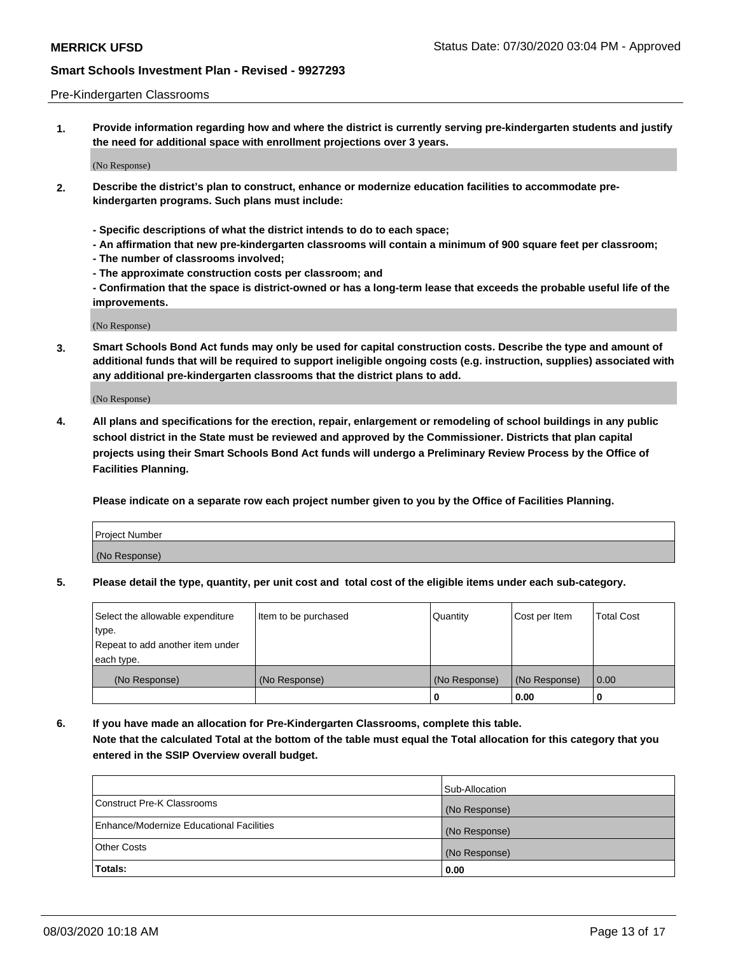### Pre-Kindergarten Classrooms

**1. Provide information regarding how and where the district is currently serving pre-kindergarten students and justify the need for additional space with enrollment projections over 3 years.**

(No Response)

- **2. Describe the district's plan to construct, enhance or modernize education facilities to accommodate prekindergarten programs. Such plans must include:**
	- **Specific descriptions of what the district intends to do to each space;**
	- **An affirmation that new pre-kindergarten classrooms will contain a minimum of 900 square feet per classroom;**
	- **The number of classrooms involved;**
	- **The approximate construction costs per classroom; and**
	- **Confirmation that the space is district-owned or has a long-term lease that exceeds the probable useful life of the improvements.**

(No Response)

**3. Smart Schools Bond Act funds may only be used for capital construction costs. Describe the type and amount of additional funds that will be required to support ineligible ongoing costs (e.g. instruction, supplies) associated with any additional pre-kindergarten classrooms that the district plans to add.**

(No Response)

**4. All plans and specifications for the erection, repair, enlargement or remodeling of school buildings in any public school district in the State must be reviewed and approved by the Commissioner. Districts that plan capital projects using their Smart Schools Bond Act funds will undergo a Preliminary Review Process by the Office of Facilities Planning.**

**Please indicate on a separate row each project number given to you by the Office of Facilities Planning.**

| Project Number |  |
|----------------|--|
| (No Response)  |  |
|                |  |

**5. Please detail the type, quantity, per unit cost and total cost of the eligible items under each sub-category.**

| Select the allowable expenditure | Item to be purchased | Quantity      | Cost per Item | <b>Total Cost</b> |
|----------------------------------|----------------------|---------------|---------------|-------------------|
| type.                            |                      |               |               |                   |
| Repeat to add another item under |                      |               |               |                   |
| each type.                       |                      |               |               |                   |
| (No Response)                    | (No Response)        | (No Response) | (No Response) | 0.00              |
|                                  |                      | υ             | 0.00          |                   |

**6. If you have made an allocation for Pre-Kindergarten Classrooms, complete this table. Note that the calculated Total at the bottom of the table must equal the Total allocation for this category that you entered in the SSIP Overview overall budget.**

|                                          | Sub-Allocation |
|------------------------------------------|----------------|
| Construct Pre-K Classrooms               | (No Response)  |
| Enhance/Modernize Educational Facilities | (No Response)  |
| <b>Other Costs</b>                       | (No Response)  |
| Totals:                                  | 0.00           |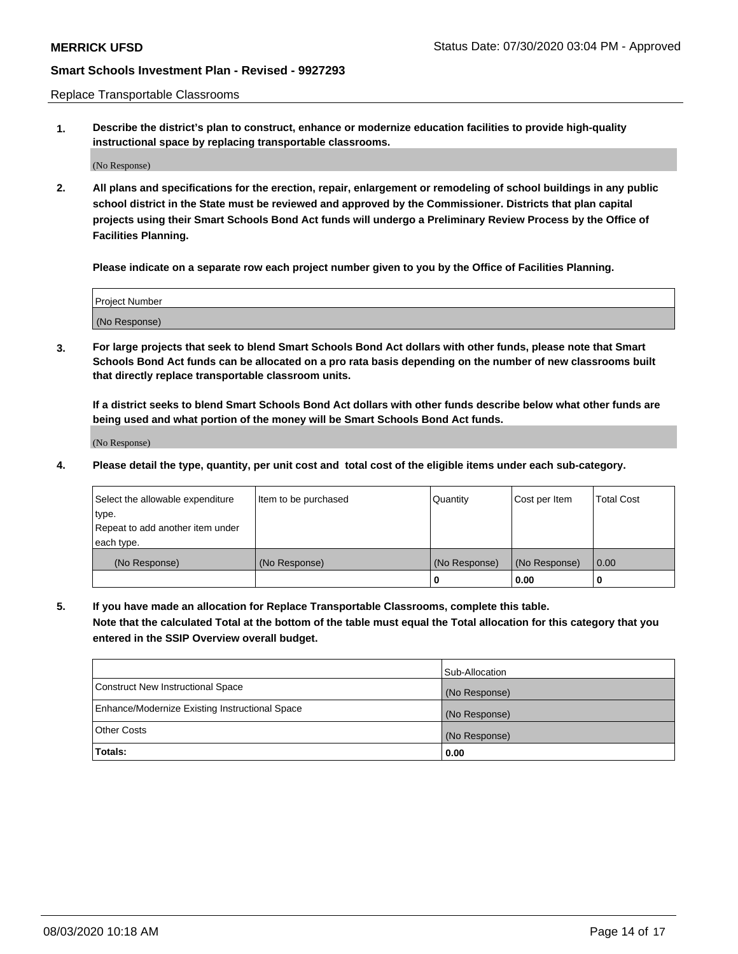Replace Transportable Classrooms

**1. Describe the district's plan to construct, enhance or modernize education facilities to provide high-quality instructional space by replacing transportable classrooms.**

(No Response)

**2. All plans and specifications for the erection, repair, enlargement or remodeling of school buildings in any public school district in the State must be reviewed and approved by the Commissioner. Districts that plan capital projects using their Smart Schools Bond Act funds will undergo a Preliminary Review Process by the Office of Facilities Planning.**

**Please indicate on a separate row each project number given to you by the Office of Facilities Planning.**

| Project Number |  |
|----------------|--|
|                |  |
|                |  |
|                |  |
|                |  |
| (No Response)  |  |
|                |  |
|                |  |
|                |  |

**3. For large projects that seek to blend Smart Schools Bond Act dollars with other funds, please note that Smart Schools Bond Act funds can be allocated on a pro rata basis depending on the number of new classrooms built that directly replace transportable classroom units.**

**If a district seeks to blend Smart Schools Bond Act dollars with other funds describe below what other funds are being used and what portion of the money will be Smart Schools Bond Act funds.**

(No Response)

**4. Please detail the type, quantity, per unit cost and total cost of the eligible items under each sub-category.**

| Select the allowable expenditure | Item to be purchased | Quantity      | Cost per Item | Total Cost |
|----------------------------------|----------------------|---------------|---------------|------------|
| ∣type.                           |                      |               |               |            |
| Repeat to add another item under |                      |               |               |            |
| each type.                       |                      |               |               |            |
| (No Response)                    | (No Response)        | (No Response) | (No Response) | 0.00       |
|                                  |                      | u             | 0.00          |            |

**5. If you have made an allocation for Replace Transportable Classrooms, complete this table. Note that the calculated Total at the bottom of the table must equal the Total allocation for this category that you entered in the SSIP Overview overall budget.**

|                                                | Sub-Allocation |
|------------------------------------------------|----------------|
| Construct New Instructional Space              | (No Response)  |
| Enhance/Modernize Existing Instructional Space | (No Response)  |
| <b>Other Costs</b>                             | (No Response)  |
| Totals:                                        | 0.00           |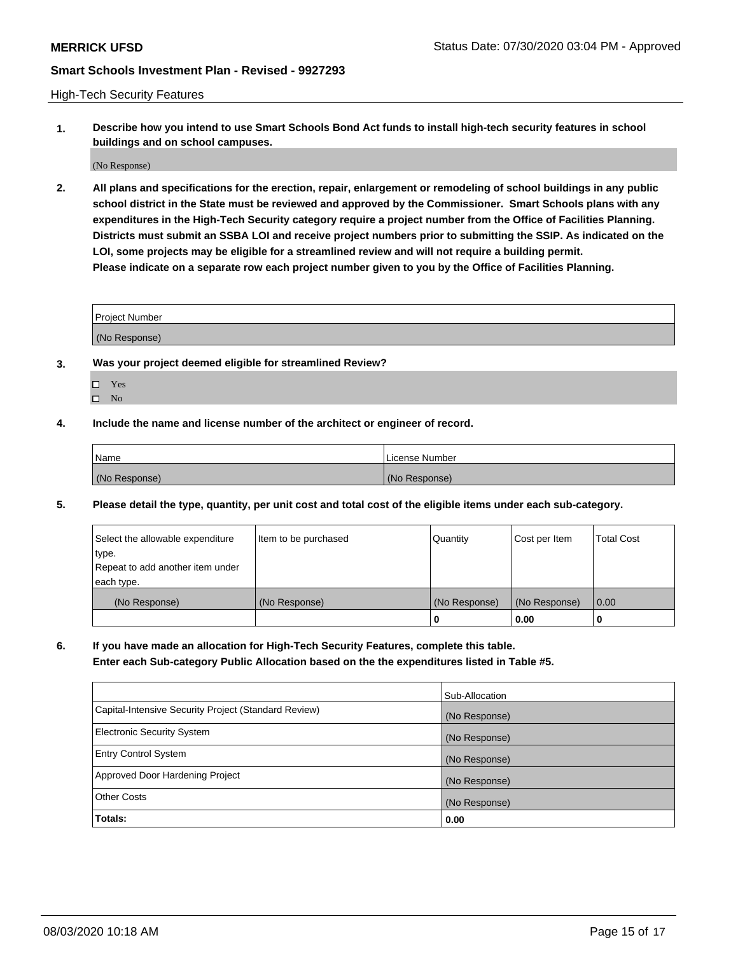High-Tech Security Features

**1. Describe how you intend to use Smart Schools Bond Act funds to install high-tech security features in school buildings and on school campuses.**

(No Response)

**2. All plans and specifications for the erection, repair, enlargement or remodeling of school buildings in any public school district in the State must be reviewed and approved by the Commissioner. Smart Schools plans with any expenditures in the High-Tech Security category require a project number from the Office of Facilities Planning. Districts must submit an SSBA LOI and receive project numbers prior to submitting the SSIP. As indicated on the LOI, some projects may be eligible for a streamlined review and will not require a building permit. Please indicate on a separate row each project number given to you by the Office of Facilities Planning.**

| <b>Project Number</b> |  |
|-----------------------|--|
| (No Response)         |  |

- **3. Was your project deemed eligible for streamlined Review?**
	- Yes
	- $\hfill \square$  No
- **4. Include the name and license number of the architect or engineer of record.**

| Name          | License Number |
|---------------|----------------|
| (No Response) | (No Response)  |

**5. Please detail the type, quantity, per unit cost and total cost of the eligible items under each sub-category.**

| Select the allowable expenditure | Item to be purchased | Quantity      | Cost per Item | <b>Total Cost</b> |
|----------------------------------|----------------------|---------------|---------------|-------------------|
| 'type.                           |                      |               |               |                   |
| Repeat to add another item under |                      |               |               |                   |
| each type.                       |                      |               |               |                   |
| (No Response)                    | (No Response)        | (No Response) | (No Response) | 0.00              |
|                                  |                      | U             | 0.00          |                   |

**6. If you have made an allocation for High-Tech Security Features, complete this table.**

**Enter each Sub-category Public Allocation based on the the expenditures listed in Table #5.**

|                                                      | Sub-Allocation |
|------------------------------------------------------|----------------|
| Capital-Intensive Security Project (Standard Review) | (No Response)  |
| <b>Electronic Security System</b>                    | (No Response)  |
| <b>Entry Control System</b>                          | (No Response)  |
| Approved Door Hardening Project                      | (No Response)  |
| <b>Other Costs</b>                                   | (No Response)  |
| Totals:                                              | 0.00           |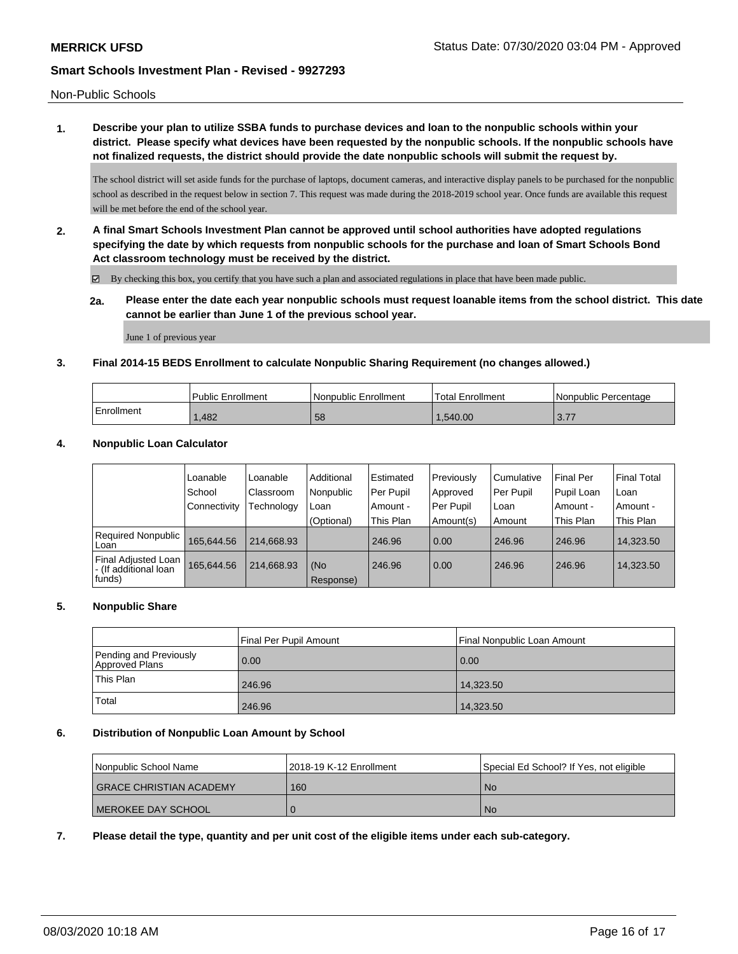Non-Public Schools

**1. Describe your plan to utilize SSBA funds to purchase devices and loan to the nonpublic schools within your district. Please specify what devices have been requested by the nonpublic schools. If the nonpublic schools have not finalized requests, the district should provide the date nonpublic schools will submit the request by.**

The school district will set aside funds for the purchase of laptops, document cameras, and interactive display panels to be purchased for the nonpublic school as described in the request below in section 7. This request was made during the 2018-2019 school year. Once funds are available this request will be met before the end of the school year.

**2. A final Smart Schools Investment Plan cannot be approved until school authorities have adopted regulations specifying the date by which requests from nonpublic schools for the purchase and loan of Smart Schools Bond Act classroom technology must be received by the district.**

By checking this box, you certify that you have such a plan and associated regulations in place that have been made public.

**2a. Please enter the date each year nonpublic schools must request loanable items from the school district. This date cannot be earlier than June 1 of the previous school year.**

June 1 of previous year

## **3. Final 2014-15 BEDS Enrollment to calculate Nonpublic Sharing Requirement (no changes allowed.)**

|            | <b>Public Enrollment</b> | l Nonpublic Enrollment | <b>Total Enrollment</b> | I Nonpublic Percentage |
|------------|--------------------------|------------------------|-------------------------|------------------------|
| Enrollment | .482                     | 58                     | .540.00                 | 277<br>3.11            |

## **4. Nonpublic Loan Calculator**

|                                                          | Loanable            | Loanable   | Additional       | Estimated | Previously | Cumulative | <b>Final Per</b> | l Final Total |
|----------------------------------------------------------|---------------------|------------|------------------|-----------|------------|------------|------------------|---------------|
|                                                          | School              | Classroom  | Nonpublic        | Per Pupil | Approved   | Per Pupil  | Pupil Loan       | l Loan        |
|                                                          | <b>Connectivity</b> | Technology | Loan             | Amount -  | Per Pupil  | ∣Loan      | Amount -         | l Amount -    |
|                                                          |                     |            | (Optional)       | This Plan | Amount(s)  | Amount     | This Plan        | This Plan     |
| Required Nonpublic<br>Loan                               | 165.644.56          | 214.668.93 |                  | 246.96    | 0.00       | 246.96     | 246.96           | 14,323.50     |
| Final Adjusted Loan<br>I - (If additional loan<br>funds) | 165.644.56          | 214.668.93 | (No<br>Response) | 246.96    | 0.00       | 246.96     | 246.96           | 14,323.50     |

## **5. Nonpublic Share**

|                                          | Final Per Pupil Amount | Final Nonpublic Loan Amount |  |
|------------------------------------------|------------------------|-----------------------------|--|
| Pending and Previously<br>Approved Plans | 0.00                   | 0.00                        |  |
| This Plan                                | 246.96                 | 14,323.50                   |  |
| Total                                    | 246.96                 | 14,323.50                   |  |

### **6. Distribution of Nonpublic Loan Amount by School**

| Nonpublic School Name     | l 2018-19 K-12 Enrollment | Special Ed School? If Yes, not eligible |
|---------------------------|---------------------------|-----------------------------------------|
| I GRACE CHRISTIAN ACADEMY | 160                       | -No                                     |
| I MEROKEE DAY SCHOOL      |                           | <b>No</b>                               |

**7. Please detail the type, quantity and per unit cost of the eligible items under each sub-category.**